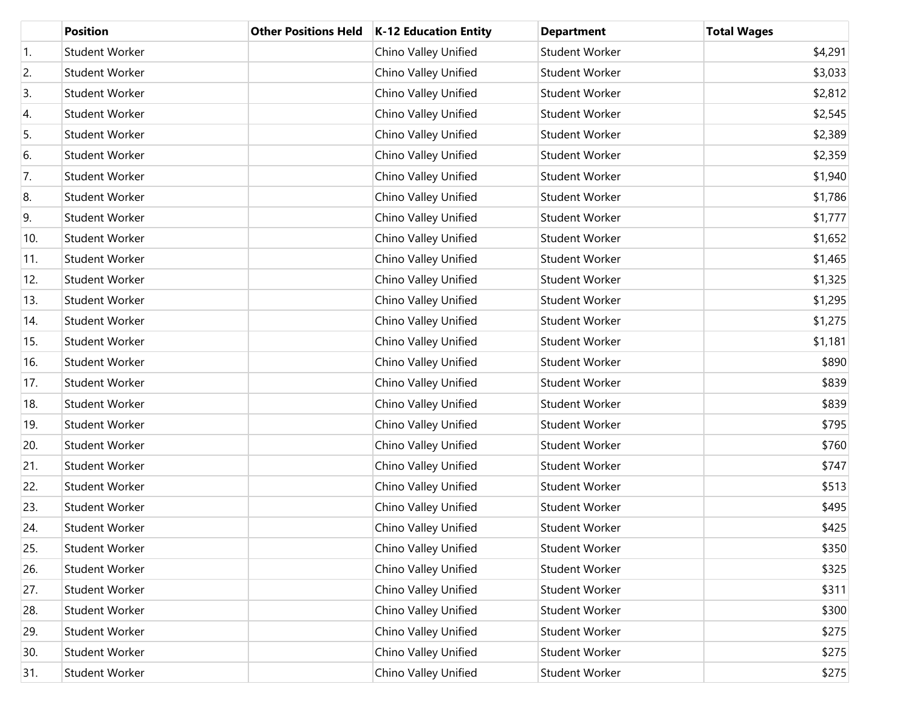|     | <b>Position</b>       | <b>Other Positions Held</b> | <b>K-12 Education Entity</b> | <b>Department</b>     | <b>Total Wages</b> |
|-----|-----------------------|-----------------------------|------------------------------|-----------------------|--------------------|
| 1.  | <b>Student Worker</b> |                             | Chino Valley Unified         | <b>Student Worker</b> | \$4,291            |
| 2.  | <b>Student Worker</b> |                             | Chino Valley Unified         | Student Worker        | \$3,033            |
| 3.  | <b>Student Worker</b> |                             | Chino Valley Unified         | Student Worker        | \$2,812            |
| 4.  | <b>Student Worker</b> |                             | Chino Valley Unified         | Student Worker        | \$2,545            |
| 5.  | <b>Student Worker</b> |                             | Chino Valley Unified         | Student Worker        | \$2,389            |
| 6.  | <b>Student Worker</b> |                             | Chino Valley Unified         | Student Worker        | \$2,359            |
| 7.  | Student Worker        |                             | Chino Valley Unified         | Student Worker        | \$1,940            |
| 8.  | <b>Student Worker</b> |                             | Chino Valley Unified         | Student Worker        | \$1,786            |
| 9.  | <b>Student Worker</b> |                             | Chino Valley Unified         | Student Worker        | \$1,777            |
| 10. | <b>Student Worker</b> |                             | Chino Valley Unified         | Student Worker        | \$1,652            |
| 11. | Student Worker        |                             | Chino Valley Unified         | Student Worker        | \$1,465            |
| 12. | <b>Student Worker</b> |                             | Chino Valley Unified         | Student Worker        | \$1,325            |
| 13. | Student Worker        |                             | Chino Valley Unified         | Student Worker        | \$1,295            |
| 14. | <b>Student Worker</b> |                             | Chino Valley Unified         | Student Worker        | \$1,275            |
| 15. | Student Worker        |                             | Chino Valley Unified         | Student Worker        | \$1,181            |
| 16. | <b>Student Worker</b> |                             | Chino Valley Unified         | Student Worker        | \$890              |
| 17. | Student Worker        |                             | Chino Valley Unified         | Student Worker        | \$839              |
| 18. | <b>Student Worker</b> |                             | Chino Valley Unified         | Student Worker        | \$839              |
| 19. | Student Worker        |                             | Chino Valley Unified         | Student Worker        | \$795              |
| 20. | <b>Student Worker</b> |                             | Chino Valley Unified         | Student Worker        | \$760              |
| 21. | Student Worker        |                             | Chino Valley Unified         | Student Worker        | \$747              |
| 22. | <b>Student Worker</b> |                             | Chino Valley Unified         | Student Worker        | \$513              |
| 23. | Student Worker        |                             | Chino Valley Unified         | Student Worker        | \$495              |
| 24. | <b>Student Worker</b> |                             | Chino Valley Unified         | <b>Student Worker</b> | \$425              |
| 25. | Student Worker        |                             | Chino Valley Unified         | Student Worker        | \$350              |
| 26. | Student Worker        |                             | Chino Valley Unified         | Student Worker        | \$325              |
| 27. | Student Worker        |                             | Chino Valley Unified         | Student Worker        | \$311              |
| 28. | Student Worker        |                             | Chino Valley Unified         | Student Worker        | \$300              |
| 29. | Student Worker        |                             | Chino Valley Unified         | Student Worker        | \$275              |
| 30. | Student Worker        |                             | Chino Valley Unified         | Student Worker        | \$275              |
| 31. | Student Worker        |                             | Chino Valley Unified         | Student Worker        | \$275              |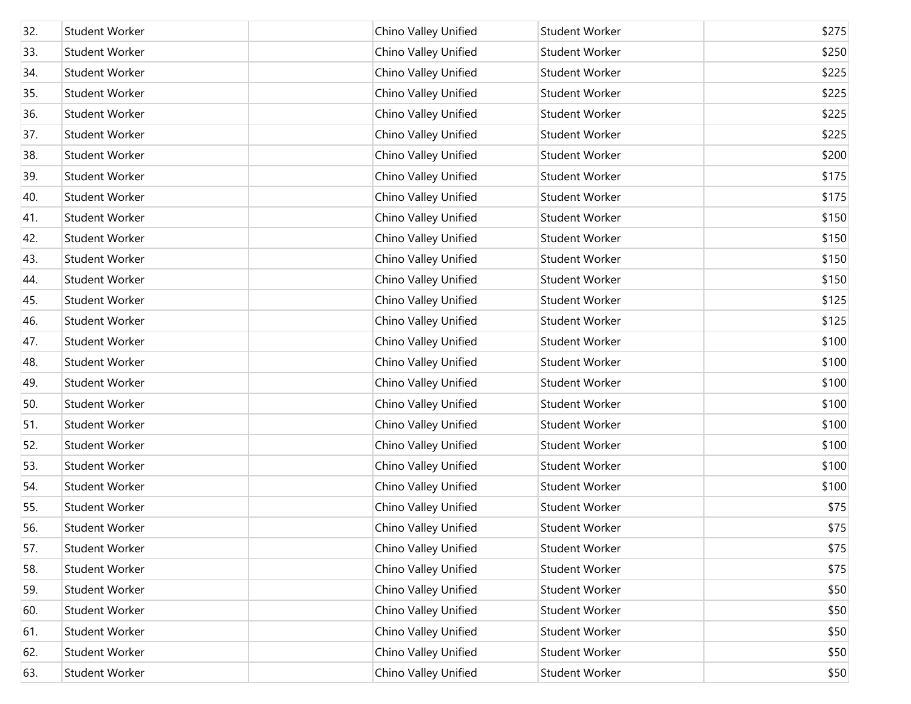| 32. | <b>Student Worker</b> | Chino Valley Unified | <b>Student Worker</b> | \$275 |
|-----|-----------------------|----------------------|-----------------------|-------|
| 33. | Student Worker        | Chino Valley Unified | Student Worker        | \$250 |
| 34. | <b>Student Worker</b> | Chino Valley Unified | Student Worker        | \$225 |
| 35. | Student Worker        | Chino Valley Unified | Student Worker        | \$225 |
| 36. | <b>Student Worker</b> | Chino Valley Unified | Student Worker        | \$225 |
| 37. | Student Worker        | Chino Valley Unified | Student Worker        | \$225 |
| 38. | Student Worker        | Chino Valley Unified | Student Worker        | \$200 |
| 39. | <b>Student Worker</b> | Chino Valley Unified | Student Worker        | \$175 |
| 40. | <b>Student Worker</b> | Chino Valley Unified | Student Worker        | \$175 |
| 41. | <b>Student Worker</b> | Chino Valley Unified | Student Worker        | \$150 |
| 42. | <b>Student Worker</b> | Chino Valley Unified | Student Worker        | \$150 |
| 43. | <b>Student Worker</b> | Chino Valley Unified | Student Worker        | \$150 |
| 44. | <b>Student Worker</b> | Chino Valley Unified | Student Worker        | \$150 |
| 45. | Student Worker        | Chino Valley Unified | Student Worker        | \$125 |
| 46. | <b>Student Worker</b> | Chino Valley Unified | Student Worker        | \$125 |
| 47. | <b>Student Worker</b> | Chino Valley Unified | Student Worker        | \$100 |
| 48. | <b>Student Worker</b> | Chino Valley Unified | Student Worker        | \$100 |
| 49. | <b>Student Worker</b> | Chino Valley Unified | Student Worker        | \$100 |
| 50. | Student Worker        | Chino Valley Unified | Student Worker        | \$100 |
| 51. | Student Worker        | Chino Valley Unified | Student Worker        | \$100 |
| 52. | <b>Student Worker</b> | Chino Valley Unified | Student Worker        | \$100 |
| 53. | Student Worker        | Chino Valley Unified | <b>Student Worker</b> | \$100 |
| 54. | Student Worker        | Chino Valley Unified | Student Worker        | \$100 |
| 55. | Student Worker        | Chino Valley Unified | <b>Student Worker</b> | \$75  |
| 56. | Student Worker        | Chino Valley Unified | Student Worker        | \$75  |
| 57. | Student Worker        | Chino Valley Unified | Student Worker        | \$75  |
| 58. | Student Worker        | Chino Valley Unified | Student Worker        | \$75  |
| 59. | Student Worker        | Chino Valley Unified | Student Worker        | \$50  |
| 60. | Student Worker        | Chino Valley Unified | Student Worker        | \$50  |
| 61. | Student Worker        | Chino Valley Unified | Student Worker        | \$50  |
| 62. | Student Worker        | Chino Valley Unified | Student Worker        | \$50  |
| 63. | Student Worker        | Chino Valley Unified | Student Worker        | \$50  |